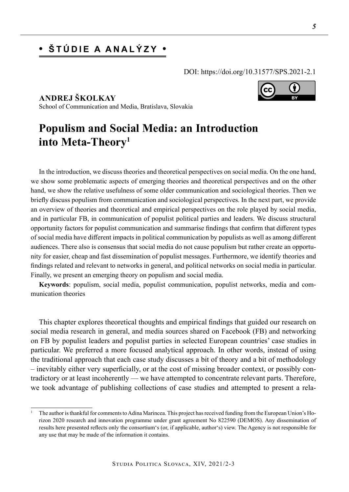# **• Štúdie a analýzy •**

DOI: https://doi.org/10.31577/SPS.2021-2.1

**ANDREJ ŠKOLKAY** School of Communication and Media, Bratislava, Slovakia

# **Populism and Social Media: an Introduction into Meta-Theory1**

In the introduction, we discuss theories and theoretical perspectives on social media. On the one hand, we show some problematic aspects of emerging theories and theoretical perspectives and on the other hand, we show the relative usefulness of some older communication and sociological theories. Then we briefly discuss populism from communication and sociological perspectives. In the next part, we provide an overview of theories and theoretical and empirical perspectives on the role played by social media, and in particular FB, in communication of populist political parties and leaders. We discuss structural opportunity factors for populist communication and summarise findings that confirm that different types of social media have different impacts in political communication by populists as well as among different audiences. There also is consensus that social media do not cause populism but rather create an opportunity for easier, cheap and fast dissemination of populist messages. Furthermore, we identify theories and findings related and relevant to networks in general, and political networks on social media in particular. Finally, we present an emerging theory on populism and social media.

**Keywords**: populism, social media, populist communication, populist networks, media and communication theories

This chapter explores theoretical thoughts and empirical findings that guided our research on social media research in general, and media sources shared on Facebook (FB) and networking on FB by populist leaders and populist parties in selected European countries' case studies in particular. We preferred a more focused analytical approach. In other words, instead of using the traditional approach that each case study discusses a bit of theory and a bit of methodology – inevitably either very superficially, or at the cost of missing broader context, or possibly contradictory or at least incoherently — we have attempted to concentrate relevant parts. Therefore, we took advantage of publishing collections of case studies and attempted to present a rela-



<sup>1</sup> The author is thankful for comments to Adina Marincea. This project has received funding from the European Union's Horizon 2020 research and innovation programme under grant agreement No 822590 (DEMOS). Any dissemination of results here presented reflects only the consortium's (or, if applicable, author's) view. The Agency is not responsible for any use that may be made of the information it contains.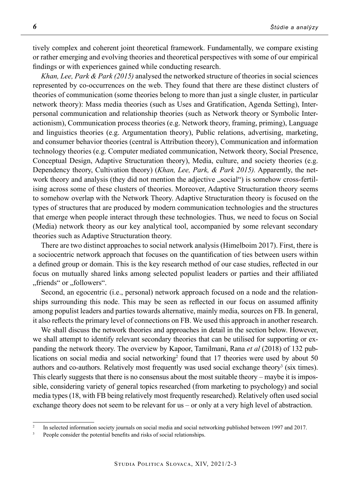tively complex and coherent joint theoretical framework. Fundamentally, we compare existing or rather emerging and evolving theories and theoretical perspectives with some of our empirical findings or with experiences gained while conducting research.

*Khan, Lee, Park & Park (2015)* analysed the networked structure of theories in social sciences represented by co-occurrences on the web. They found that there are these distinct clusters of theories of communication (some theories belong to more than just a single cluster, in particular network theory): Mass media theories (such as Uses and Gratification, Agenda Setting), Interpersonal communication and relationship theories (such as Network theory or Symbolic Interactionism), Communication process theories (e.g. Network theory, framing, priming), Language and linguistics theories (e.g. Argumentation theory), Public relations, advertising, marketing, and consumer behavior theories (central is Attribution theory), Communication and information technology theories (e.g. Computer mediated communication, Network theory, Social Presence, Conceptual Design, Adaptive Structuration theory), Media, culture, and society theories (e.g. Dependency theory, Cultivation theory) (*Khan, Lee, Park, & Park 2015).* Apparently, the network theory and analysis (they did not mention the adjective "social") is somehow cross-fertilising across some of these clusters of theories. Moreover, Adaptive Structuration theory seems to somehow overlap with the Network Theory. Adaptive Structuration theory is focused on the types of structures that are produced by modern communication technologies and the structures that emerge when people interact through these technologies. Thus, we need to focus on Social (Media) network theory as our key analytical tool, accompanied by some relevant secondary theories such as Adaptive Structuration theory.

There are two distinct approaches to social network analysis (Himelboim 2017). First, there is a sociocentric network approach that focuses on the quantification of ties between users within a defined group or domain. This is the key research method of our case studies, reflected in our focus on mutually shared links among selected populist leaders or parties and their affiliated "friends" or "followers".

Second, an egocentric (i.e., personal) network approach focused on a node and the relationships surrounding this node. This may be seen as reflected in our focus on assumed affinity among populist leaders and parties towards alternative, mainly media, sources on FB. In general, it also reflects the primary level of connections on FB. We used this approach in another research.

We shall discuss the network theories and approaches in detail in the section below. However, we shall attempt to identify relevant secondary theories that can be utilised for supporting or expanding the network theory. The overview by Kapoor, Tamilmani, Rana *et al* (2018) of 132 publications on social media and social networking<sup>2</sup> found that 17 theories were used by about 50 authors and co-authors. Relatively most frequently was used social exchange theory<sup>3</sup> (six times). This clearly suggests that there is no consensus about the most suitable theory – maybe it is impossible, considering variety of general topics researched (from marketing to psychology) and social media types (18, with FB being relatively most frequently researched). Relatively often used social exchange theory does not seem to be relevant for us – or only at a very high level of abstraction.

<sup>&</sup>lt;sup>2</sup> In selected information society journals on social media and social networking published between 1997 and 2017.

People consider the potential benefits and risks of social relationships.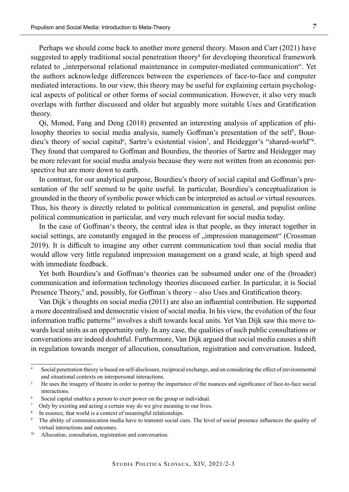Perhaps we should come back to another more general theory. Mason and Carr (2021) have suggested to apply traditional social penetration theory<sup>4</sup> for developing theoretical framework related to "interpersonal relational maintenance in computer-mediated communication". Yet the authors acknowledge differences between the experiences of face-to-face and computer mediated interactions. In our view, this theory may be useful for explaining certain psychological aspects of political or other forms of social communication. However, it also very much overlaps with further discussed and older but arguably more suitable Uses and Gratification theory.

Qi, Monod, Fang and Deng (2018) presented an interesting analysis of application of philosophy theories to social media analysis, namely Goffman's presentation of the self<sup>5</sup>, Bourdieu's theory of social capital<sup>6</sup>, Sartre's existential vision<sup>7</sup>, and Heidegger's "shared-world"<sup>8</sup>. They found that compared to Goffman and Bourdieu, the theories of Sartre and Heidegger may be more relevant for social media analysis because they were not written from an economic perspective but are more down to earth.

In contrast, for our analytical purpose, Bourdieu's theory of social capital and Goffman's presentation of the self seemed to be quite useful. In particular, Bourdieu's conceptualization is grounded in the theory of symbolic power which can be interpreted as actual *or* virtual resources. Thus, his theory is directly related to political communication in general, and populist online political communication in particular, and very much relevant for social media today.

In the case of Goffman's theory, the central idea is that people, as they interact together in social settings, are constantly engaged in the process of "impression management" (Crossman 2019). It is difficult to imagine any other current communication tool than social media that would allow very little regulated impression management on a grand scale, at high speed and with immediate feedback.

Yet both Bourdieu's and Goffman's theories can be subsumed under one of the (broader) communication and information technology theories discussed earlier. In particular, it is Social Presence Theory,<sup>9</sup> and, possibly, for Goffman's theory – also Uses and Gratification theory.

Van Dijk´s thoughts on social media (2011) are also an influential contribution. He supported a more decentralised and democratic vision of social media. In his view, the evolution of the four information traffic patterns<sup>10</sup> involves a shift towards local units. Yet Van Dijk saw this move towards local units as an opportunity only. In any case, the qualities of such public consultations or conversations are indeed doubtful. Furthermore, Van Dijk argued that social media causes a shift in regulation towards merger of allocution, consultation, registration and conversation. Indeed,

Social penetration theory is based on self-disclosure, reciprocal exchange, and on considering the effect of environmental and situational contexts on interpersonal interactions.

<sup>5</sup> He uses the imagery of theatre in order to portray the importance of the nuances and significance of face-to-face social interactions.

<sup>6</sup> Social capital enables a person to exert power on the group or individual.

<sup>7</sup> Only by existing and acting a certain way do we give meaning to our lives.

In essence, that world is a context of meaningful relationships.

<sup>9</sup> The ability of communication media have to transmit social cues. The level of social presence influences the quality of virtual interactions and outcomes.

<sup>&</sup>lt;sup>10</sup> Allocution, consultation, registration and conversation.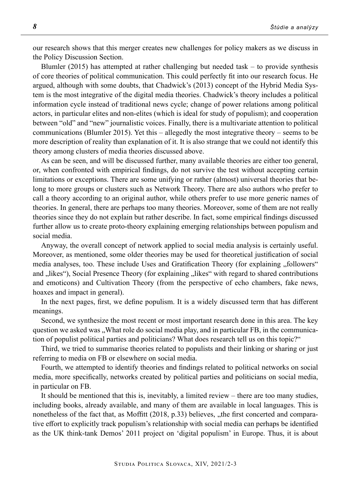our research shows that this merger creates new challenges for policy makers as we discuss in the Policy Discussion Section.

Blumler  $(2015)$  has attempted at rather challenging but needed task – to provide synthesis of core theories of political communication. This could perfectly fit into our research focus. He argued, although with some doubts, that Chadwick's (2013) concept of the Hybrid Media System is the most integrative of the digital media theories. Chadwick's theory includes a political information cycle instead of traditional news cycle; change of power relations among political actors, in particular elites and non-elites (which is ideal for study of populism); and cooperation between "old" and "new" journalistic voices. Finally, there is a multivariate attention to political communications (Blumler 2015). Yet this – allegedly the most integrative theory – seems to be more description of reality than explanation of it. It is also strange that we could not identify this theory among clusters of media theories discussed above.

As can be seen, and will be discussed further, many available theories are either too general, or, when confronted with empirical findings, do not survive the test without accepting certain limitations or exceptions. There are some unifying or rather (almost) universal theories that belong to more groups or clusters such as Network Theory. There are also authors who prefer to call a theory according to an original author, while others prefer to use more generic names of theories. In general, there are perhaps too many theories. Moreover, some of them are not really theories since they do not explain but rather describe. In fact, some empirical findings discussed further allow us to create proto-theory explaining emerging relationships between populism and social media.

Anyway, the overall concept of network applied to social media analysis is certainly useful. Moreover, as mentioned, some older theories may be used for theoretical justification of social media analyses, too. These include Uses and Gratification Theory (for explaining "followers" and "likes"), Social Presence Theory (for explaining "likes" with regard to shared contributions and emoticons) and Cultivation Theory (from the perspective of echo chambers, fake news, hoaxes and impact in general).

In the next pages, first, we define populism. It is a widely discussed term that has different meanings.

Second, we synthesize the most recent or most important research done in this area. The key question we asked was "What role do social media play, and in particular FB, in the communication of populist political parties and politicians? What does research tell us on this topic?"

Third, we tried to summarise theories related to populists and their linking or sharing or just referring to media on FB or elsewhere on social media.

Fourth, we attempted to identify theories and findings related to political networks on social media, more specifically, networks created by political parties and politicians on social media, in particular on FB.

It should be mentioned that this is, inevitably, a limited review – there are too many studies, including books, already available, and many of them are available in local languages. This is nonetheless of the fact that, as Moffitt  $(2018, p.33)$  believes, "the first concerted and comparative effort to explicitly track populism's relationship with social media can perhaps be identified as the UK think-tank Demos' 2011 project on 'digital populism' in Europe. Thus, it is about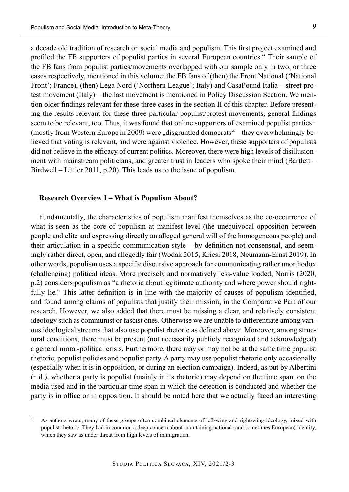a decade old tradition of research on social media and populism. This first project examined and profiled the FB supporters of populist parties in several European countries." Their sample of the FB fans from populist parties/movements overlapped with our sample only in two, or three cases respectively, mentioned in this volume: the FB fans of (then) the Front National ('National Front'; France), (then) Lega Nord ('Northern League'; Italy) and CasaPound Italia – street protest movement (Italy) – the last movement is mentioned in Policy Discussion Section. We mention older findings relevant for these three cases in the section II of this chapter. Before presenting the results relevant for these three particular populist/protest movements, general findings seem to be relevant, too. Thus, it was found that online supporters of examined populist parties<sup>11</sup> (mostly from Western Europe in 2009) were "disgruntled democrats" – they overwhelmingly believed that voting is relevant, and were against violence. However, these supporters of populists did not believe in the efficacy of current politics. Moreover, there were high levels of disillusionment with mainstream politicians, and greater trust in leaders who spoke their mind (Bartlett – Birdwell – Littler 2011, p.20). This leads us to the issue of populism.

### **Research Overview I – What is Populism About?**

Fundamentally, the characteristics of populism manifest themselves as the co-occurrence of what is seen as the core of populism at manifest level (the unequivocal opposition between people and elite and expressing directly an alleged general will of the homogeneous people) and their articulation in a specific communication style – by definition not consensual, and seemingly rather direct, open, and allegedly fair (Wodak 2015, Kriesi 2018, Neumann-Ernst 2019). In other words, populism uses a specific discursive approach for communicating rather unorthodox (challenging) political ideas. More precisely and normatively less-value loaded, Norris (2020, p.2) considers populism as "a rhetoric about legitimate authority and where power should rightfully lie." This latter definition is in line with the majority of causes of populism identified, and found among claims of populists that justify their mission, in the Comparative Part of our research. However, we also added that there must be missing a clear, and relatively consistent ideology such as communist or fascist ones. Otherwise we are unable to differentiate among various ideological streams that also use populist rhetoric as defined above. Moreover, among structural conditions, there must be present (not necessarily publicly recognized and acknowledged) a general moral-political crisis. Furthermore, there may or may not be at the same time populist rhetoric, populist policies and populist party. A party may use populist rhetoric only occasionally (especially when it is in opposition, or during an election campaign). Indeed, as put by Albertini (n.d.), whether a party is populist (mainly in its rhetoric) may depend on the time span, on the media used and in the particular time span in which the detection is conducted and whether the party is in office or in opposition. It should be noted here that we actually faced an interesting

<sup>&</sup>lt;sup>11</sup> As authors wrote, many of these groups often combined elements of left-wing and right-wing ideology, mixed with populist rhetoric. They had in common a deep concern about maintaining national (and sometimes European) identity, which they saw as under threat from high levels of immigration.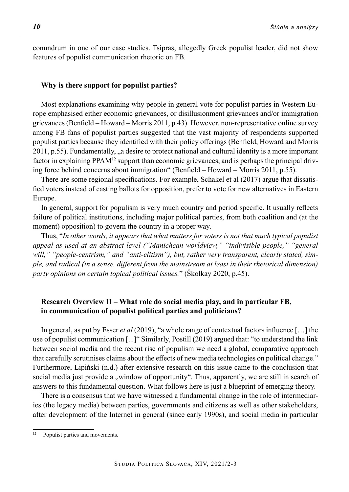conundrum in one of our case studies. Tsipras, allegedly Greek populist leader, did not show features of populist communication rhetoric on FB.

### **Why is there support for populist parties?**

Most explanations examining why people in general vote for populist parties in Western Europe emphasised either economic grievances, or disillusionment grievances and/or immigration grievances (Benfield – Howard – Morris 2011, p.43). However, non-representative online survey among FB fans of populist parties suggested that the vast majority of respondents supported populist parties because they identified with their policy offerings (Benfield, Howard and Morris 2011, p.55). Fundamentally, "a desire to protect national and cultural identity is a more important factor in explaining PPAM<sup>12</sup> support than economic grievances, and is perhaps the principal driving force behind concerns about immigration" (Benfield – Howard – Morris 2011, p.55).

There are some regional specifications. For example, Schakel et al (2017) argue that dissatisfied voters instead of casting ballots for opposition, prefer to vote for new alternatives in Eastern Europe.

In general, support for populism is very much country and period specific. It usually reflects failure of political institutions, including major political parties, from both coalition and (at the moment) opposition) to govern the country in a proper way.

Thus, "*In other words, it appears that what matters for voters is not that much typical populist appeal as used at an abstract level ("Manichean worldview," "indivisible people," "general*  will," "people-centrism," and "anti-elitism"), but, rather very transparent, clearly stated, sim*ple, and radical (in a sense, different from the mainstream at least in their rhetorical dimension) party opinions on certain topical political issues.*" (Školkay 2020, p.45).

## **Research Overview II – What role do social media play, and in particular FB, in communication of populist political parties and politicians?**

In general, as put by Esser *et al* (2019), "a whole range of contextual factors influence […] the use of populist communication [...]" Similarly, Postill (2019) argued that: "to understand the link between social media and the recent rise of populism we need a global, comparative approach that carefully scrutinises claims about the effects of new media technologies on political change." Furthermore, Lipiński (n.d.) after extensive research on this issue came to the conclusion that social media just provide a "window of opportunity". Thus, apparently, we are still in search of answers to this fundamental question. What follows here is just a blueprint of emerging theory.

There is a consensus that we have witnessed a fundamental change in the role of intermediaries (the legacy media) between parties, governments and citizens as well as other stakeholders, after development of the Internet in general (since early 1990s), and social media in particular

<sup>&</sup>lt;sup>12</sup> Populist parties and movements.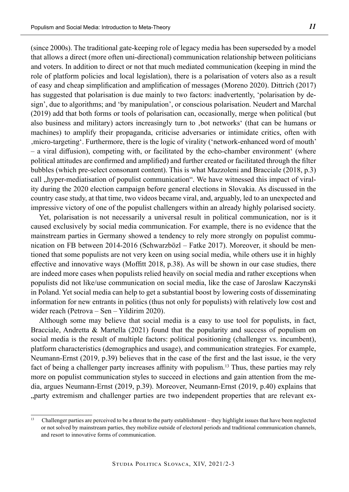(since 2000s). The traditional gate-keeping role of legacy media has been superseded by a model that allows a direct (more often uni-directional) communication relationship between politicians and voters. In addition to direct or not that much mediated communication (keeping in mind the role of platform policies and local legislation), there is a polarisation of voters also as a result of easy and cheap simplification and amplification of messages (Moreno 2020). Dittrich (2017) has suggested that polarisation is due mainly to two factors: inadvertently, 'polarisation by design', due to algorithms; and 'by manipulation', or conscious polarisation. Neudert and Marchal (2019) add that both forms or tools of polarisation can, occasionally, merge when political (but also business and military) actors increasingly turn to , bot networks' (that can be humans or machines) to amplify their propaganda, criticise adversaries or intimidate critics, often with 'micro-targeting'. Furthermore, there is the logic of virality ('network-enhanced word of mouth' – a viral diffusion), competing with, or facilitated by the echo-chamber environment' (where political attitudes are confirmed and amplified) and further created or facilitated through the filter bubbles (which pre-select consonant content). This is what Mazzoleni and Bracciale (2018, p.3) call ,,hyper-mediatisation of populist communication". We have witnessed this impact of virality during the 2020 election campaign before general elections in Slovakia. As discussed in the country case study, at that time, two videos became viral, and, arguably, led to an unexpected and impressive victory of one of the populist challengers within an already highly polarised society.

Yet, polarisation is not necessarily a universal result in political communication, nor is it caused exclusively by social media communication. For example, there is no evidence that the mainstream parties in Germany showed a tendency to rely more strongly on populist communication on FB between 2014-2016 (Schwarzbözl – Fatke 2017). Moreover, it should be mentioned that some populists are not very keen on using social media, while others use it in highly effective and innovative ways (Moffitt 2018, p.38). As will be shown in our case studies, there are indeed more cases when populists relied heavily on social media and rather exceptions when populists did not like/use communication on social media, like the case of Jaroslaw Kaczynski in Poland. Yet social media can help to get a substantial boost by lowering costs of disseminating information for new entrants in politics (thus not only for populists) with relatively low cost and wider reach (Petrova – Sen – Yildirim 2020).

Although some may believe that social media is a easy to use tool for populists, in fact, Bracciale, Andretta & Martella (2021) found that the popularity and success of populism on social media is the result of multiple factors: political positioning (challenger vs. incumbent), platform characteristics (demographics and usage), and communication strategies. For example, Neumann-Ernst (2019, p.39) believes that in the case of the first and the last issue, ie the very fact of being a challenger party increases affinity with populism.13 Thus, these parties may rely more on populist communication styles to succeed in elections and gain attention from the media, argues Neumann-Ernst (2019, p.39). Moreover, Neumann-Ernst (2019, p.40) explains that "party extremism and challenger parties are two independent properties that are relevant ex-

<sup>&</sup>lt;sup>13</sup> Challenger parties are perceived to be a threat to the party establishment – they highlight issues that have been neglected or not solved by mainstream parties, they mobilize outside of electoral periods and traditional communication channels, and resort to innovative forms of communication.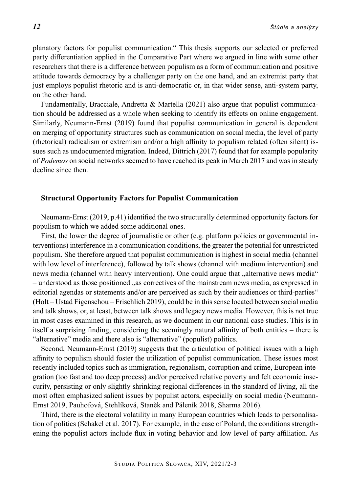planatory factors for populist communication." This thesis supports our selected or preferred party differentiation applied in the Comparative Part where we argued in line with some other researchers that there is a difference between populism as a form of communication and positive attitude towards democracy by a challenger party on the one hand, and an extremist party that just employs populist rhetoric and is anti-democratic or, in that wider sense, anti-system party, on the other hand.

Fundamentally, Bracciale, Andretta & Martella (2021) also argue that populist communication should be addressed as a whole when seeking to identify its effects on online engagement. Similarly, Neumann-Ernst (2019) found that populist communication in general is dependent on merging of opportunity structures such as communication on social media, the level of party (rhetorical) radicalism or extremism and/or a high affinity to populism related (often silent) issues such as undocumented migration. Indeed, Dittrich (2017) found that for example popularity of *Podemos* on social networks seemed to have reached its peak in March 2017 and was in steady decline since then.

#### **Structural Opportunity Factors for Populist Communication**

Neumann-Ernst (2019, p.41) identified the two structurally determined opportunity factors for populism to which we added some additional ones.

First, the lower the degree of journalistic or other (e.g. platform policies or governmental interventions) interference in a communication conditions, the greater the potential for unrestricted populism. She therefore argued that populist communication is highest in social media (channel with low level of interference), followed by talk shows (channel with medium intervention) and news media (channel with heavy intervention). One could argue that , alternative news media " – understood as those positioned "as correctives of the mainstream news media, as expressed in editorial agendas or statements and/or are perceived as such by their audiences or third-parties" (Holt – Ustad Figenschou – Frischlich 2019), could be in this sense located between social media and talk shows, or, at least, between talk shows and legacy news media. However, this is not true in most cases examined in this research, as we document in our national case studies. This is in itself a surprising finding, considering the seemingly natural affinity of both entities – there is "alternative" media and there also is "alternative" (populist) politics.

Second, Neumann-Ernst (2019) suggests that the articulation of political issues with a high affinity to populism should foster the utilization of populist communication. These issues most recently included topics such as immigration, regionalism, corruption and crime, European integration (too fast and too deep process) and/or perceived relative poverty and felt economic insecurity, persisting or only slightly shrinking regional differences in the standard of living, all the most often emphasized salient issues by populist actors, especially on social media (Neumann-Ernst 2019, Pauhofová, Stehlíková, Staněk and Páleník 2018, Sharma 2016).

Third, there is the electoral volatility in many European countries which leads to personalisation of politics (Schakel et al. 2017). For example, in the case of Poland, the conditions strengthening the populist actors include flux in voting behavior and low level of party affiliation. As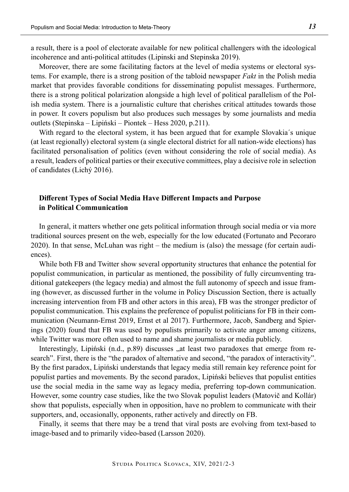a result, there is a pool of electorate available for new political challengers with the ideological incoherence and anti-political attitudes (Lipinski and Stepinska 2019).

Moreover, there are some facilitating factors at the level of media systems or electoral systems. For example, there is a strong position of the tabloid newspaper *Fakt* in the Polish media market that provides favorable conditions for disseminating populist messages. Furthermore, there is a strong political polarization alongside a high level of political parallelism of the Polish media system. There is a journalistic culture that cherishes critical attitudes towards those in power. It covers populism but also produces such messages by some journalists and media outlets (Stepinska – Lipiński – Piontek – Hess 2020, p.211).

With regard to the electoral system, it has been argued that for example Slovakia´s unique (at least regionally) electoral system (a single electoral district for all nation-wide elections) has facilitated personalisation of politics (even without considering the role of social media). As a result, leaders of political parties or their executive committees, play a decisive role in selection of candidates (Lichý 2016).

## **Different Types of Social Media Have Different Impacts and Purpose in Political Communication**

In general, it matters whether one gets political information through social media or via more traditional sources present on the web, especially for the low educated (Fortunato and Pecoraro 2020). In that sense, McLuhan was right – the medium is (also) the message (for certain audiences).

While both FB and Twitter show several opportunity structures that enhance the potential for populist communication, in particular as mentioned, the possibility of fully circumventing traditional gatekeepers (the legacy media) and almost the full autonomy of speech and issue framing (however, as discussed further in the volume in Policy Discussion Section, there is actually increasing intervention from FB and other actors in this area), FB was the stronger predictor of populist communication. This explains the preference of populist politicians for FB in their communication (Neumann-Ernst 2019, Ernst et al 2017). Furthermore, Jacob, Sandberg and Spierings (2020) found that FB was used by populists primarily to activate anger among citizens, while Twitter was more often used to name and shame journalists or media publicly.

Interestingly, Lipiński  $(n.d., p.89)$  discusses  $\alpha$ , at least two paradoxes that emerge from research". First, there is the "the paradox of alternative and second, "the paradox of interactivity". By the first paradox, Lipiński understands that legacy media still remain key reference point for populist parties and movements. By the second paradox, Lipiński believes that populist entities use the social media in the same way as legacy media, preferring top-down communication. However, some country case studies, like the two Slovak populist leaders (Matovič and Kollár) show that populists, especially when in opposition, have no problem to communicate with their supporters, and, occasionally, opponents, rather actively and directly on FB.

Finally, it seems that there may be a trend that viral posts are evolving from text-based to image-based and to primarily video-based (Larsson 2020).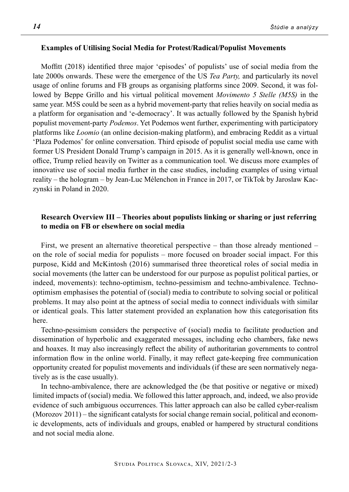### **Examples of Utilising Social Media for Protest/Radical/Populist Movements**

Moffitt (2018) identified three major 'episodes' of populists' use of social media from the late 2000s onwards. These were the emergence of the US *Tea Party,* and particularly its novel usage of online forums and FB groups as organising platforms since 2009. Second, it was followed by Beppe Grillo and his virtual political movement *Movimento 5 Stelle (M5S)* in the same year. M5S could be seen as a hybrid movement-party that relies heavily on social media as a platform for organisation and 'e-democracy'. It was actually followed by the Spanish hybrid populist movement-party *Podemos*. Yet Podemos went further, experimenting with participatory platforms like *Loomio* (an online decision-making platform), and embracing Reddit as a virtual 'Plaza Podemos' for online conversation. Third episode of populist social media use came with former US President Donald Trump's campaign in 2015. As it is generally well-known, once in office, Trump relied heavily on Twitter as a communication tool. We discuss more examples of innovative use of social media further in the case studies, including examples of using virtual reality – the hologram – by Jean-Luc Mélenchon in France in 2017, or TikTok by Jaroslaw Kaczynski in Poland in 2020.

## **Research Overview III – Theories about populists linking or sharing or just referring to media on FB or elsewhere on social media**

First, we present an alternative theoretical perspective – than those already mentioned – on the role of social media for populists – more focused on broader social impact. For this purpose, Kidd and McKintosh (2016) summarised three theoretical roles of social media in social movements (the latter can be understood for our purpose as populist political parties, or indeed, movements): techno-optimism, techno-pessimism and techno-ambivalence. Technooptimism emphasises the potential of (social) media to contribute to solving social or political problems. It may also point at the aptness of social media to connect individuals with similar or identical goals. This latter statement provided an explanation how this categorisation fits here.

Techno-pessimism considers the perspective of (social) media to facilitate production and dissemination of hyperbolic and exaggerated messages, including echo chambers, fake news and hoaxes. It may also increasingly reflect the ability of authoritarian governments to control information flow in the online world. Finally, it may reflect gate-keeping free communication opportunity created for populist movements and individuals (if these are seen normatively negatively as is the case usually).

In techno-ambivalence, there are acknowledged the (be that positive or negative or mixed) limited impacts of (social) media. We followed this latter approach, and, indeed, we also provide evidence of such ambiguous occurrences. This latter approach can also be called cyber-realism (Morozov 2011) – the significant catalysts for social change remain social, political and economic developments, acts of individuals and groups, enabled or hampered by structural conditions and not social media alone.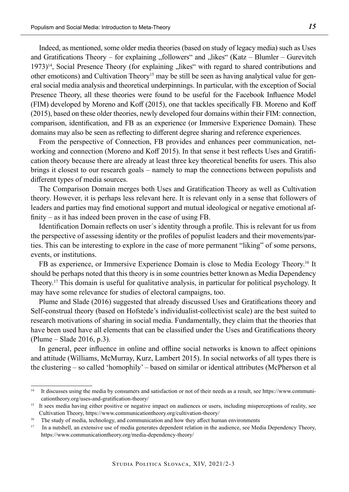Indeed, as mentioned, some older media theories (based on study of legacy media) such as Uses and Gratifications Theory – for explaining "followers" and "likes" (Katz – Blumler – Gurevitch  $1973$ <sup> $14$ </sup>, Social Presence Theory (for explaining  $\mu$ likes" with regard to shared contributions and other emoticons) and Cultivation Theory<sup>15</sup> may be still be seen as having analytical value for general social media analysis and theoretical underpinnings. In particular, with the exception of Social Presence Theory, all these theories were found to be useful for the Facebook Influence Model (FIM) developed by Moreno and Koff (2015), one that tackles specifically FB. Moreno and Koff (2015), based on these older theories, newly developed four domains within their FIM: connection, comparison, identification, and FB as an experience (or Immersive Experience Domain). These domains may also be seen as reflecting to different degree sharing and reference experiences.

From the perspective of Connection, FB provides and enhances peer communication, networking and connection (Moreno and Koff 2015). In that sense it best reflects Uses and Gratification theory because there are already at least three key theoretical benefits for users. This also brings it closest to our research goals – namely to map the connections between populists and different types of media sources.

The Comparison Domain merges both Uses and Gratification Theory as well as Cultivation theory. However, it is perhaps less relevant here. It is relevant only in a sense that followers of leaders and parties may find emotional support and mutual ideological or negative emotional affinity – as it has indeed been proven in the case of using FB.

Identification Domain reflects on user´s identity through a profile. This is relevant for us from the perspective of assessing identity or the profiles of populist leaders and their movements/parties. This can be interesting to explore in the case of more permanent "liking" of some persons, events, or institutions.

FB as experience, or Immersive Experience Domain is close to Media Ecology Theory.16 It should be perhaps noted that this theory is in some countries better known as Media Dependency Theory.17 This domain is useful for qualitative analysis, in particular for political psychology. It may have some relevance for studies of electoral campaigns, too.

Plume and Slade (2016) suggested that already discussed Uses and Gratifications theory and Self-construal theory (based on Hofstede's individualist-collectivist scale) are the best suited to research motivations of sharing in social media. Fundamentally, they claim that the theories that have been used have all elements that can be classified under the Uses and Gratifications theory (Plume – Slade 2016, p.3).

In general, peer influence in online and offline social networks is known to affect opinions and attitude (Williams, McMurray, Kurz, Lambert 2015). In social networks of all types there is the clustering – so called 'homophily' – based on similar or identical attributes (McPherson et al

<sup>&</sup>lt;sup>14</sup> It discusses using the media by consumers and satisfaction or not of their needs as a result, see https://www.communicationtheory.org/uses-and-gratification-theory/

<sup>&</sup>lt;sup>15</sup> It sees media having either positive or negative impact on audiences or users, including misperceptions of reality, see Cultivation Theory, https://www.communicationtheory.org/cultivation-theory/

<sup>&</sup>lt;sup>16</sup> The study of media, technology, and communication and how they affect human environments

<sup>&</sup>lt;sup>17</sup> In a nutshell, an extensive use of media generates dependent relation in the audience, see Media Dependency Theory, https://www.communicationtheory.org/media-dependency-theory/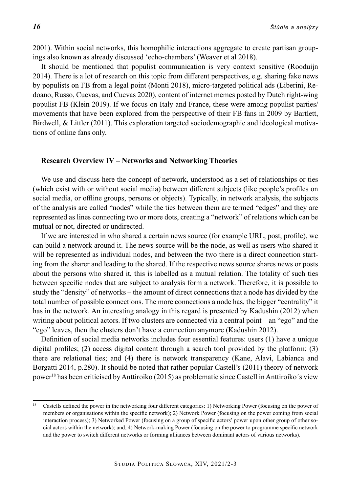2001). Within social networks, this homophilic interactions aggregate to create partisan groupings also known as already discussed 'echo-chambers' (Weaver et al 2018).

It should be mentioned that populist communication is very context sensitive (Rooduijn 2014). There is a lot of research on this topic from different perspectives, e.g. sharing fake news by populists on FB from a legal point (Monti 2018), micro-targeted political ads (Liberini, Redoano, Russo, Cuevas, and Cuevas 2020), content of internet memes posted by Dutch right-wing populist FB (Klein 2019). If we focus on Italy and France, these were among populist parties/ movements that have been explored from the perspective of their FB fans in 2009 by Bartlett, Birdwell, & Littler (2011). This exploration targeted sociodemographic and ideological motivations of online fans only.

## **Research Overview IV – Networks and Networking Theories**

We use and discuss here the concept of network, understood as a set of relationships or ties (which exist with or without social media) between different subjects (like people's profiles on social media, or offline groups, persons or objects). Typically, in network analysis, the subjects of the analysis are called "nodes" while the ties between them are termed "edges" and they are represented as lines connecting two or more dots, creating a "network" of relations which can be mutual or not, directed or undirected.

If we are interested in who shared a certain news source (for example URL, post, profile), we can build a network around it. The news source will be the node, as well as users who shared it will be represented as individual nodes, and between the two there is a direct connection starting from the sharer and leading to the shared. If the respective news source shares news or posts about the persons who shared it, this is labelled as a mutual relation. The totality of such ties between specific nodes that are subject to analysis form a network. Therefore, it is possible to study the "density" of networks – the amount of direct connections that a node has divided by the total number of possible connections. The more connections a node has, the bigger "centrality" it has in the network. An interesting analogy in this regard is presented by Kadushin (2012) when writing about political actors. If two clusters are connected via a central point – an "ego" and the "ego" leaves, then the clusters don't have a connection anymore (Kadushin 2012).

Definition of social media networks includes four essential features: users (1) have a unique digital profiles; (2) access digital content through a search tool provided by the platform; (3) there are relational ties; and (4) there is network transparency (Kane, Alavi, Labianca and Borgatti 2014, p.280). It should be noted that rather popular Castell's (2011) theory of network power18 has been criticised by Anttiroiko (2015) as problematic since Castell in Anttiroiko´s view

<sup>18</sup> Castells defined the power in the networking four different categories: 1) Networking Power (focusing on the power of members or organisations within the specific network); 2) Network Power (focusing on the power coming from social interaction process); 3) Networked Power (focusing on a group of specific actors' power upon other group of other social actors within the network); and, 4) Network-making Power (focusing on the power to programme specific network and the power to switch different networks or forming alliances between dominant actors of various networks).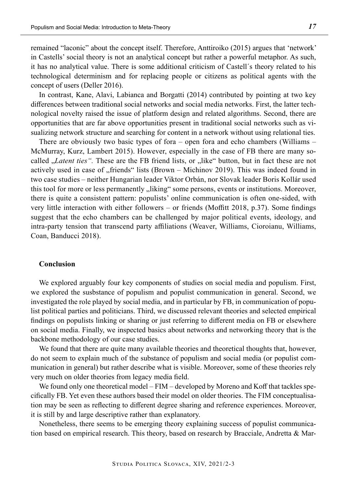remained "laconic" about the concept itself. Therefore, Anttiroiko (2015) argues that 'network' in Castells' social theory is not an analytical concept but rather a powerful metaphor. As such, it has no analytical value. There is some additional criticism of Castell´s theory related to his technological determinism and for replacing people or citizens as political agents with the concept of users (Deller 2016).

In contrast, Kane, Alavi, Labianca and Borgatti (2014) contributed by pointing at two key differences between traditional social networks and social media networks. First, the latter technological novelty raised the issue of platform design and related algorithms. Second, there are opportunities that are far above opportunities present in traditional social networks such as visualizing network structure and searching for content in a network without using relational ties.

There are obviously two basic types of fora – open fora and echo chambers (Williams – McMurray, Kurz, Lambert 2015). However, especially in the case of FB there are many socalled *"Latent ties"*. These are the FB friend lists, or "like" button, but in fact these are not actively used in case of "friends" lists (Brown – Michinov 2019). This was indeed found in two case studies – neither Hungarian leader Viktor Orbán, nor Slovak leader Boris Kollár used this tool for more or less permanently  $\mu$ , liking" some persons, events or institutions. Moreover, there is quite a consistent pattern: populists' online communication is often one-sided, with very little interaction with either followers – or friends (Moffitt 2018, p.37). Some findings suggest that the echo chambers can be challenged by major political events, ideology, and intra-party tension that transcend party affiliations (Weaver, Williams, Cioroianu, Williams, Coan, Banducci 2018).

### **Conclusion**

We explored arguably four key components of studies on social media and populism. First, we explored the susbstance of populism and populist communication in general. Second, we investigated the role played by social media, and in particular by FB, in communication of populist political parties and politicians. Third, we discussed relevant theories and selected empirical findings on populists linking or sharing or just referring to different media on FB or elsewhere on social media. Finally, we inspected basics about networks and networking theory that is the backbone methodology of our case studies.

We found that there are quite many available theories and theoretical thoughts that, however, do not seem to explain much of the substance of populism and social media (or populist communication in general) but rather describe what is visible. Moreover, some of these theories rely very much on older theories from legacy media field.

We found only one theoretical model – FIM – developed by Moreno and Koff that tackles specifically FB. Yet even these authors based their model on older theories. The FIM conceptualisation may be seen as reflecting to different degree sharing and reference experiences. Moreover, it is still by and large descriptive rather than explanatory.

Nonetheless, there seems to be emerging theory explaining success of populist communication based on empirical research. This theory, based on research by Bracciale, Andretta & Mar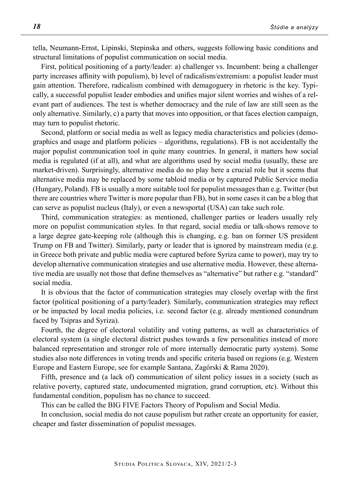tella, Neumann-Ernst, Lipinski, Stepinska and others, suggests following basic conditions and structural limitations of populist communication on social media.

First, political positioning of a party/leader: a) challenger vs. Incumbent: being a challenger party increases affinity with populism), b) level of radicalism/extremism: a populist leader must gain attention. Therefore, radicalism combined with demagoguery in rhetoric is the key. Typically, a successful populist leader embodies and unifies major silent worries and wishes of a relevant part of audiences. The test is whether democracy and the rule of law are still seen as the only alternative. Similarly, c) a party that moves into opposition, or that faces election campaign, may turn to populist rhetoric.

Second, platform or social media as well as legacy media characteristics and policies (demographics and usage and platform policies – algorithms, regulations). FB is not accidentally the major populist communication tool in quite many countries. In general, it matters how social media is regulated (if at all), and what are algorithms used by social media (usually, these are market-driven). Surprisingly, alternative media do no play here a crucial role but it seems that alternative media may be replaced by some tabloid media or by captured Public Service media (Hungary, Poland). FB is usually a more suitable tool for populist messages than e.g. Twitter (but there are countries where Twitter is more popular than FB), but in some cases it can be a blog that can serve as populist nucleus (Italy), or even a newsportal (USA) can take such role.

Third, communication strategies: as mentioned, challenger parties or leaders usually rely more on populist communication styles. In that regard, social media or talk-shows remove to a large degree gate-keeping role (although this is changing, e.g. ban on former US president Trump on FB and Twitter). Similarly, party or leader that is ignored by mainstream media (e.g. in Greece both private and public media were captured before Syriza came to power), may try to develop alternative communication strategies and use alternative media. However, these alternative media are usually not those that define themselves as "alternative" but rather e.g. "standard" social media.

It is obvious that the factor of communication strategies may closely overlap with the first factor (political positioning of a party/leader). Similarly, communication strategies may reflect or be impacted by local media policies, i.e. second factor (e.g. already mentioned conundrum faced by Tsipras and Syriza).

Fourth, the degree of electoral volatility and voting patterns, as well as characteristics of electoral system (a single electoral district pushes towards a few personalities instead of more balanced representation and stronger role of more internally democratic party system). Some studies also note differences in voting trends and specific criteria based on regions (e.g. Western Europe and Eastern Europe, see for example Santana, Zagórski & Rama 2020).

Fifth, presence and (a lack of) communication of silent policy issues in a society (such as relative poverty, captured state, undocumented migration, grand corruption, etc). Without this fundamental condition, populism has no chance to succeed.

This can be called the BIG FIVE Factors Theory of Populism and Social Media.

In conclusion, social media do not cause populism but rather create an opportunity for easier, cheaper and faster dissemination of populist messages.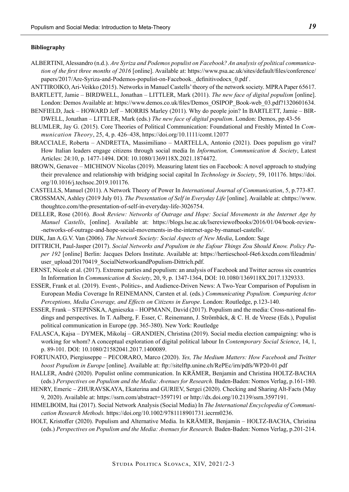#### **Bibliography**

- ALBERTINI, Alessandro (n.d.). *Are Syriza and Podemos populist on Facebook? An analysis of political communication of the first three months of 2016* [online]. Available at: https://www.psa.ac.uk/sites/default/files/conference/ papers/2017/Are-Syriza-and-Podemos-populist-on-Facebook. definitivodocx 0.pdf .
- ANTTIROIKO, Ari-Veikko (2015). Networks in Manuel Castells' theory of the network society. MPRA Paper 65617.
- BARTLETT, Jamie BIRDWELL, Jonathan LITTLER, Mark (2011). *The new face of digital populism* [online]. London: Demos Available at: https://www.demos.co.uk/files/Demos\_OSIPOP\_Book-web\_03.pdf?1320601634.
- BENFIELD, Jack HOWARD Jeff MORRIS Marley (2011). Why do people join? In BARTLETT, Jamie BIR-DWELL, Jonathan – LITTLER, Mark (eds.) *The new face of digital populism*. London: Demos, pp.43-56
- BLUMLER, Jay G. (2015). Core Theories of Political Communication: Foundational and Freshly Minted In *Communication Theory*, 25, 4, p. 426–438, https://doi.org/10.1111/comt.12077
- BRACCIALE, Roberta ANDRETTA, Massimiliano MARTELLA, Antonio (2021). Does populism go viral? How Italian leaders engage citizens through social media In *Information, Communication & Society*, Latest Articles: 24:10, p. 1477-1494. DOI: 10.1080/1369118X.2021.1874472.
- BROWN, Genavee MICHINOV Nicolas (2019). Measuring latent ties on Facebook: A novel approach to studying their prevalence and relationship with bridging social capital In *Technology in Society*, 59, 101176. https://doi. org/10.1016/j.techsoc.2019.101176.
- CASTELLS, Manuel (2011). A Network Theory of Power In *International Journal of Communication*, 5, p.773-87.
- CROSSMAN, Ashley (2019 July 01). *The Presentation of Self in Everyday Life* [online]. Available at: chttps://www. thoughtco.com/the-presentation-of-self-in-everyday-life-3026754.
- DELLER, Rose (2016). *Book Review: Networks of Outrage and Hope: Social Movements in the Internet Age by Manuel Castells*, [online]. Available at: https://blogs.lse.ac.uk/lsereviewofbooks/2016/01/04/book-review- -networks-of-outrage-and-hope-social-movements-in-the-internet-age-by-manuel-castells/.
- DIJK, Jan A.G.V. Van (2006). *The Network Society: Social Aspects of New Media*, London: Sage
- DITTRICH, Paul-Jasper (2017). *Social Networks and Populism in the Eufour Things Zou Should Know. Policy Paper 192* [online] Berlin: Jacques Delors Institute. Available at: https://hertieschool-f4e6.kxcdn.com/fileadmin/ user\_upload/20170419\_SocialNetworksandPopulism-Dittrich.pdf.
- ERNST, Nicole et al. (2017). Extreme parties and populism: an analysis of Facebook and Twitter across six countries In Information In *Communication & Society*, 20, 9, p. 1347-1364, DOI: 10.1080/1369118X.2017.1329333.
- ESSER, Frank et al. (2019). Event-, Politics-, and Audience-Driven News: A Two-Year Comparison of Populism in European Media Coverage In REINEMANN, Carsten et al. (eds.) *Communicating Populism. Comparing Actor Perceptions, Media Coverage, and Effects on Citizens in Europe*. London: Routledge, p.123-140.
- ESSER, Frank STEPIŃSKA, Agnieszka HOPMANN, David (2017). Populism and the media: Cross-national findings and perspectives. In T. Aalberg, F. Esser, C. Reinemann, J. Strömbäck, & C. H. de Vreese (Eds.), Populist political communication in Europe (pp. 365-380). New York: Routledge
- FALASCA, Kajsa DYMEK, Mikolaj GRANDIEN, Christina (2019). Social media election campaigning: who is working for whom? A conceptual exploration of digital political labour In *Contemporary Social Science*, 14, 1, p. 89-101. DOI: 10.1080/21582041.2017.1400089.
- FORTUNATO, Piergiuseppe PECORARO, Marco (2020). *Yes, The Medium Matters: How Facebook and Twitter boost Populism in Europe* [online]. Available at: ftp://sitelftp.unine.ch/RePEc/irn/pdfs/WP20-01.pdf
- HALLER, André (2020). Populist online communication. In KRÄMER, Benjamin and Christina HOLTZ-BACHA (eds.) *Perspectives on Populism and the Media: Avenues for Research.* Baden-Baden: Nomos Verlag, p.161-180.
- HENRY, Emeric ZHURAVSKAYA, Ekaterina and GURIEV, Sergei (2020). Checking and Sharing Alt-Facts (May 9, 2020). Available at: https://ssrn.com/abstract=3597191 or http://dx.doi.org/10.2139/ssrn.3597191.
- HIMELBOIM, Itai (2017). Social Network Analysis (Social Media) In *The International Encyclopedia of Communication Research Methods.* https://doi.org/10.1002/9781118901731.iecrm0236.
- HOLT, Kristoffer (2020). Populism and Alternative Media. In KRÄMER, Benjamin HOLTZ-BACHA, Christina (eds.) *Perspectives on Populism and the Media: Avenues for Research.* Baden-Baden: Nomos Verlag, p.201-214.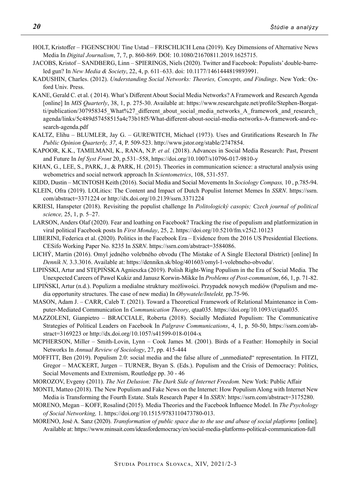- HOLT, Kristoffer FIGENSCHOU Tine Ustad FRISCHLICH Lena (2019). Key Dimensions of Alternative News Media In *Digital Journalism*, 7, 7, p. 860-869. DOI: 10.1080/21670811.2019.1625715.
- JACOBS, Kristof SANDBERG, Linn SPIERINGS, Niels (2020). Twitter and Facebook: Populists' double-barreled gun? In *New Media & Society*, 22, 4, p. 611–633. doi: 10.1177/1461444819893991.
- KADUSHIN, Charles. (2012). *Understanding Social Networks: Theories, Concepts, and Findings*. New York: Oxford Univ. Press.
- KANE, Gerald C. et al. ( 2014). What's Different About Social Media Networks? A Framework and Research Agenda [online] In *MIS Quarterly*, 38, 1, p. 275-30. Available at: https://www.researchgate.net/profile/Stephen-Borgatti/publication/307958345\_What%27\_different\_about\_social\_media\_networks\_A\_framework\_and\_research\_ agenda/links/5c489d57458515a4c73b18f5/What-different-about-social-media-networks-A-framework-and-research-agenda.pdf
- KALTZ, Elihu BLUMLER, Jay G. GUREWITCH, Michael (1973). Uses and Gratifications Research In *The Public Opinion Quarterly, 37*, 4, P. 509-523. http://www.jstor.org/stable/2747854.
- KAPOOR, K.K., TAMILMANI, K., RANA, N.P. *et al.* (2018). Advances in Social Media Research: Past, Present and Future In *Inf Syst Front* 20, p.531–558, https://doi.org/10.1007/s10796-017-9810-y
- KHAN, G., LEE, S., PARK, J., & PARK, H. (2015). Theories in communication science: a structural analysis using webometrics and social network approach In *Scientometrics*, 108, 531-557.
- KIDD, Dustin MCINTOSH Keith (2016). Social Media and Social Movements In *Sociology Compass,* 10 , p.785-94.
- KLEIN, Ofra (2019). LOLitics: The Content and Impact of Dutch Populist Internet Memes In *SSRN*. https://ssrn. com/abstract=3371224 or http://dx.doi.org/10.2139/ssrn.3371224
- KRIESI, Hanspeter (2018). Revisiting the populist challenge In *Politologický casopis; Czech journal of political science,* 25, 1, p. 5–27.
- LARSON, Anders Olaf (2020). Fear and loathing on Facebook? Tracking the rise of populism and platformization in viral political Facebook posts In *First Monday*, 25, 2. https://doi.org/10.5210/fm.v25i2.10123
- LIBERINI, Federica et al. (2020). Politics in the Facebook Era Evidence from the 2016 US Presidential Elections. CESifo Working Paper No. 8235 In *SSRN*. https://ssrn.com/abstract=3584086.
- LICHÝ, Martin (2016). Omyl jedného volebného obvodu (The Mistake of A Single Electoral District) [online] In *Denník N,* 3.3.3016. Available at: https://dennikn.sk/blog/401603/omyl-1-volebneho-obvodu/.
- LIPIŃSKI, Artur and STĘPIŃSKA Agnieszka (2019). Polish Right-Wing Populism in the Era of Social Media*.* The Unexpected Careers of Paweł Kukiz and Janusz Korwin-Mikke In *Problems of Post-communism*, 66, 1, p. 71-82.
- LIPIŃSKI, Artur (n.d.). Populizm a medialne struktury możliwości. Przypadek nowych mediów (Populism and media opportunity structures. The case of new media) In *Obywatele/Intelekt,* pp.75-96.
- MASON, Adam J. CARR, Caleb T. (2021). Toward a Theoretical Framework of Relational Maintenance in Computer-Mediated Communication In *Communication Theory*, qtaa035. https://doi.org/10.1093/ct/qtaa035.
- MAZZOLENI, Gianpietro BRACCIALE, Roberta (2018). Socially Mediated Populism: The Communicative Strategies of Political Leaders on Facebook In *Palgrave Communications*, 4, 1, p. 50-50, https://ssrn.com/abstract=3169223 or http://dx.doi.org/10.1057/s41599-018-0104-x
- MCPHERSON, Miller Smith-Lovin, Lynn Cook James M. (2001). Birds of a Feather: Homophily in Social Networks In *Annual Review of Sociology*, 27, pp. 415-444
- MOFFITT, Ben (2019). Populism 2.0: social media and the false allure of "unmediated" representation. In FITZI, Gregor – MACKERT, Jurgen – TURNER, Bryan S. (Eds.). Populism and the Crisis of Democracy: Politics, Social Movements and Extremism, Routledge pp. 30 - 46
- MOROZOV, Evgeny (2011). *The Net Delusion: The Dark Side of Internet Freedom.* New York: Public Affair
- MONTI, Matteo (2018). The New Populism and Fake News on the Internet: How Populism Along with Internet New Media is Transforming the Fourth Estate. Stals Research Paper 4 In *SSRN*: https://ssrn.com/abstract=3175280.
- MORENO, Megan KOFF, Rosalind (2015). Media Theories and the Facebook Influence Model. In *The Psychology of Social Networking,* 1. https://doi.org/10.1515/9783110473780-013.
- MORENO, José A. Sanz (2020). *Transformation of public space due to the use and abuse of social platforms* [online]. Available at: https://www.minsait.com/ideasfordemocracy/en/social-media-platforms-political-communication-full